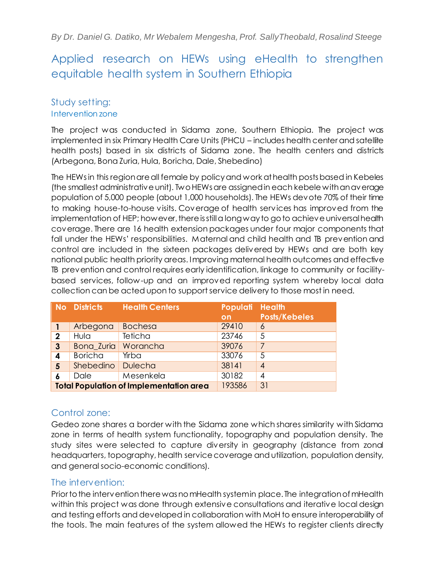# Applied research on HEWs using eHealth to strengthen equitable health system in Southern Ethiopia

# Study setting: Intervention zone

The project was conducted in Sidama zone, Southern Ethiopia. The project was implemented in six Primary Health Care Units (PHCU – includes health center and satellite health posts) based in six districts of Sidama zone. The health centers and districts (Arbegona, Bona Zuria, Hula, Boricha, Dale, Shebedino)

The HEWs in this region are all female by policy and work at health posts based in Kebeles (the smallest administrative unit). Two HEWs are assigned in each kebele with an average population of 5,000 people (about 1,000 households). The HEWs devote 70% of their time to making house-to-house visits. Coverage of health services has improved from the implementation of HEP; however, there is still a long way to go to achieve universal health coverage. There are 16 health extension packages under four major components that fall under the HEWs' responsibilities. Maternal and child health and TB prevention and control are included in the sixteen packages delivered by HEWs and are both key national public health priority areas. Improving maternal health outcomes and effective TB prevention and control requires early identification, linkage to community or facilitybased services, follow-up and an improved reporting system whereby local data collection can be acted upon to support service delivery to those most in need.

|                                                | No Districts   | <b>Health Centers</b> | Populati Health<br><b>on</b> | <b>Posts/Kebeles</b> |
|------------------------------------------------|----------------|-----------------------|------------------------------|----------------------|
|                                                | Arbegona       | <b>Bochesa</b>        | 29410                        | 6                    |
| $\mathbf 2$                                    | Hula           | <b>Teticha</b>        | 23746                        | 5                    |
| 3                                              | Bona_Zuria     | Worancha              | 39076                        |                      |
| 4                                              | <b>Boricha</b> | Yirba                 | 33076                        | 5                    |
| 5                                              | Shebedino      | <b>Dulecha</b>        | 38141                        | 4                    |
| 6                                              | Dale           | Mesenkela             | 30182                        | 4                    |
| <b>Total Population of Implementation area</b> |                |                       | 193586                       | 31                   |

# Control zone:

Gedeo zone shares a border with the Sidama zone which shares similarity with Sidama zone in terms of health system functionality, topography and population density. The study sites were selected to capture diversity in geography (distance from zonal headquarters, topography, health service coverage and utilization, population density, and general socio-economic conditions).

# The intervention:

Prior to the intervention there was no mHealth systemin place. The integration of mHealth within this project was done through extensive consultations and iterative local design and testing efforts and developed in collaboration with MoH to ensure interoperability of the tools. The main features of the system allowed the HEWs to register clients directly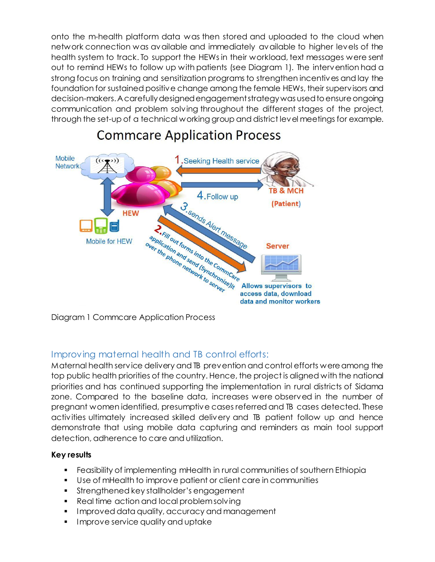onto the m-health platform data was then stored and uploaded to the cloud when network connection was available and immediately available to higher levels of the health system to track. To support the HEWs in their workload, text messages were sent out to remind HEWs to follow up with patients (see Diagram 1). The intervention had a strong focus on training and sensitization programs to strengthen incentives and lay the foundation for sustained positive change among the female HEWs, their supervisors and decision-makers. A carefully designed engagement strategy was used to ensure ongoing communication and problem solving throughout the different stages of the project, through the set-up of a technical working group and district level meetings for example.



# **Commcare Application Process**

Diagram 1 Commcare Application Process

# Improving maternal health and TB control efforts:

Maternal health service delivery and TB prevention and control efforts were among the top public health priorities of the country. Hence, the project is aligned with the national priorities and has continued supporting the implementation in rural districts of Sidama zone. Compared to the baseline data, increases were observed in the number of pregnant women identified, presumptive cases referred and TB cases detected. These activities ultimately increased skilled delivery and TB patient follow up and hence demonstrate that using mobile data capturing and reminders as main tool support detection, adherence to care and utilization.

# **Key results**

- Feasibility of implementing mHealth in rural communities of southern Ethiopia
- Use of mHealth to improve patient or client care in communities
- **Strengthened key stallholder's engagement**
- Real time action and local problem solving
- Improved data quality, accuracy and management
- **Improve service quality and uptake**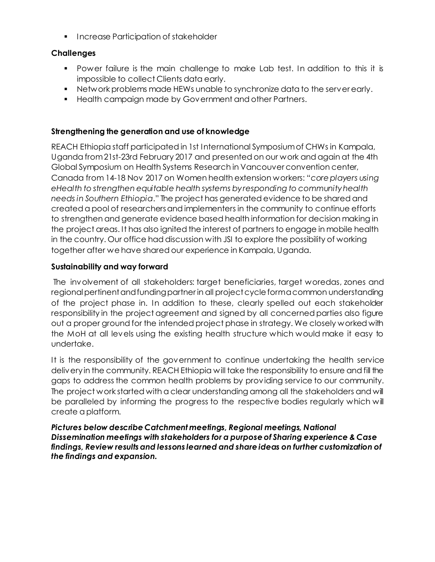**Increase Participation of stakeholder** 

### **Challenges**

- Power failure is the main challenge to make Lab test. In addition to this it is impossible to collect Clients data early.
- Network problems made HEWs unable to synchronize data to the server early.
- **Health campaign made by Government and other Partners.**

### **Strengthening the generation and use of knowledge**

REACH Ethiopia staff participated in 1st International Symposium of CHWs in Kampala, Uganda from 21st-23rd February 2017 and presented on our work and again at the 4th Global Symposium on Health Systems Research in Vancouver convention center, Canada from 14-18 Nov 2017 on Women health extension workers: "*core players using eHealth to strengthen equitable health systems by responding to community health needs in Southern Ethiopia*." The project has generated evidence to be shared and created a pool of researchers and implementers in the community to continue efforts to strengthen and generate evidence based health information for decision making in the project areas. It has also ignited the interest of partners to engage in mobile health in the country. Our office had discussion with JSI to explore the possibility of working together after we have shared our experience in Kampala, Uganda.

### **Sustainability and way forward**

The involvement of all stakeholders: target beneficiaries, target woredas, zones and regional pertinent and funding partner in all project cycle form a common understanding of the project phase in. In addition to these, clearly spelled out each stakeholder responsibility in the project agreement and signed by all concerned parties also figure out a proper ground for the intended project phase in strategy. We closely worked with the MoH at all levels using the existing health structure which would make it easy to undertake.

It is the responsibility of the government to continue undertaking the health service delivery in the community. REACH Ethiopia will take the responsibility to ensure and fill the gaps to address the common health problems by providing service to our community. The project work started with a clear understanding among all the stakeholders and will be paralleled by informing the progress to the respective bodies regularly which will create a platform.

*Pictures below describe Catchment meetings, Regional meetings, National Dissemination meetings with stakeholders for a purpose of Sharing experience & Case findings, Review results and lessons learned and share ideas on further customization of the findings and expansion.*